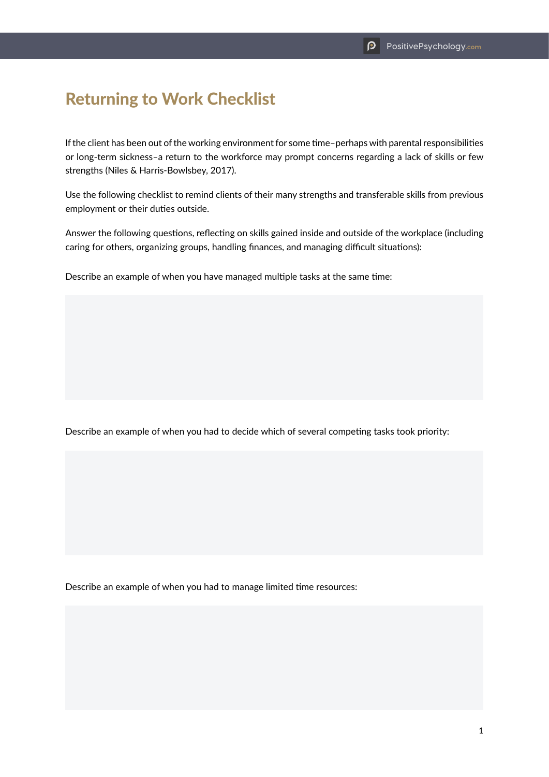## Returning to Work Checklist

If the client has been out of the working environment for some time–perhaps with parental responsibilities or long-term sickness–a return to the workforce may prompt concerns regarding a lack of skills or few strengths (Niles & Harris-Bowlsbey, 2017).

Use the following checklist to remind clients of their many strengths and transferable skills from previous employment or their duties outside.

Answer the following questions, reflecting on skills gained inside and outside of the workplace (including caring for others, organizing groups, handling finances, and managing difficult situations):

Describe an example of when you have managed multiple tasks at the same time:

Describe an example of when you had to decide which of several competing tasks took priority:

Describe an example of when you had to manage limited time resources: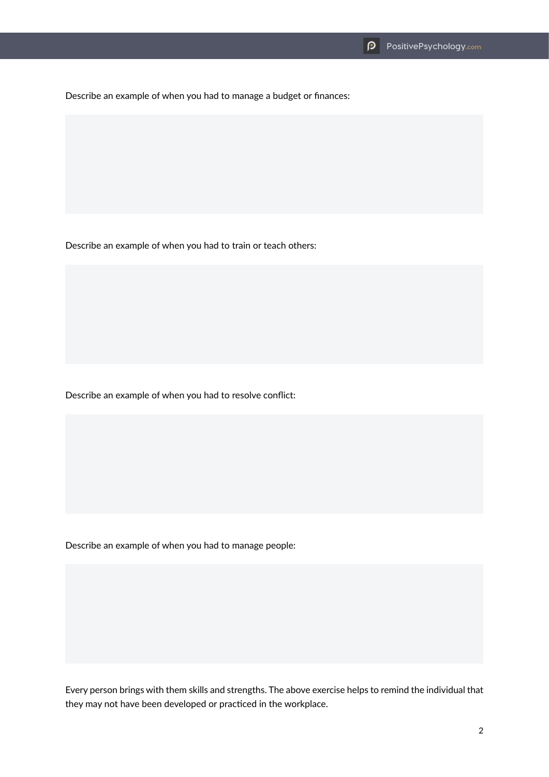Describe an example of when you had to manage a budget or finances:

Describe an example of when you had to train or teach others:

Describe an example of when you had to resolve conflict:

Describe an example of when you had to manage people:

Every person brings with them skills and strengths. The above exercise helps to remind the individual that they may not have been developed or practiced in the workplace.